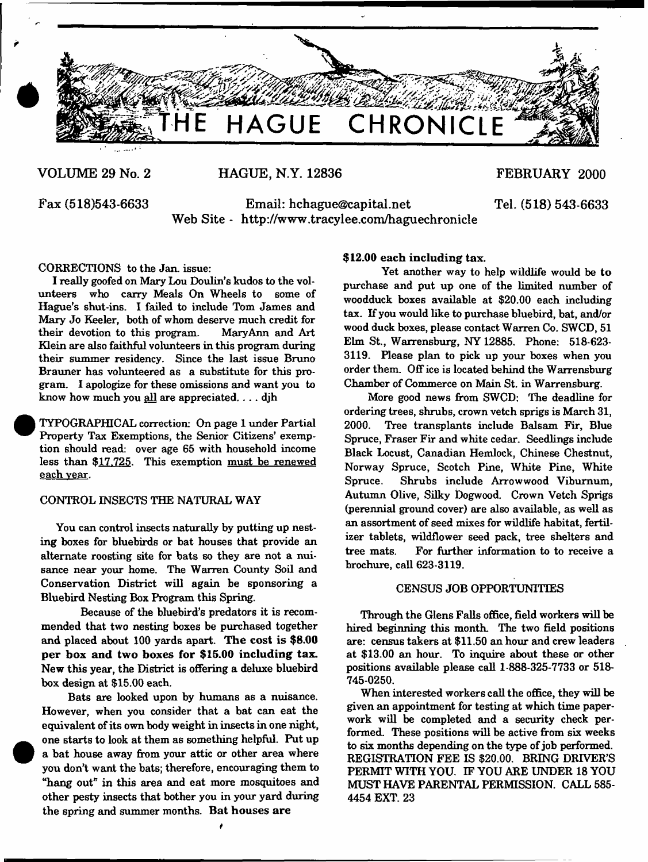

**VOLUME 29 No. 2**

**HAGUE, N.Y. 12836**

**FEBRUARY 2000**

**Fax (518)543-6633**

**Email: [hchague@capital.net](mailto:hchague@capital.net) Web Site - <http://www.tracylee.com/haguechronicle>** **Tel. (5X8) 543-6633**

## **CORRECTIONS to the Jan. issue:**

**I really goofed on Mary Lou Doulin's kudos to the volunteers who carry Meals On Wheels to some of Hague's shut-ins. I failed to include Tom James and Mary Jo Keeler, both of whom deserve much credit for their devotion to this program. MaryAnn and Art Klein are also faithful volunteers in this program during their summer residency. Since the last issue Bruno Brauner has volunteered as a substitute for this program. I apologize for these omissions and want you to** know how much you all are appreciated. . . . dih

**TYPOGRAPHICAL correction: On page 1 under Partial Property Tax Exemptions, the Senior Citizens' exemption should read: over age 65 with household income less than \$17.725. This exemption must be renewed each year.**

### **CONTROL INSECTS THE NATURAL WAY**

**You can control insects naturally by putting up nesting boxes for bluebirds or bat houses that provide an alternate roosting site for bats so they are not a nuisance near your home. The Warren County Soil and Conservation District will again be sponsoring a Bluebird Nesting Box Program this Spring.**

**Because of the bluebird's predators it is recommended that two nesting boxes be purchased together and placed about 100 yards apart. The cost is \$8.00** per box and two boxes for \$15.00 including tax. **New this year, the District is offering a deluxe bluebird box design at \$15.00 each.**

**Bats are looked upon by humans as a nuisance. However, when you consider that a bat can eat the equivalent of its own body weight in insects in one night, one starts to look at them as something helpful. Put up a bat house away from your attic or other area where you don't want the bats; therefore, encouraging them to "hang out" in this area and eat more mosquitoes and other pesty insects that bother you in your yard during the spring and summer months. Bat houses are**

*t*

 $\bullet$ 

## **\$12.00 each including tax.**

**Yet another way to help wildlife would be to purchase and put up one of the limited number of woodduck boxes available at \$20.00 each including tax. If you would like to purchase bluebird, bat, and/or wood duck boxes, please contact Warren Co. SWCD, 51 Elm St., Warrensburg, NY 12885. Phone: 518-623- 3119. Please plan to pick up your boxes when you order them. Off ice is located behind the Warrensburg Chamber of Commerce on Main St. in Warrensburg.**

**More good news from SWCD: The deadline for ordering trees, shrubs, crown vetch sprigs is March 31, 2000. Tree transplants include Balsam Fir, Blue Spruce, Fraser Fir and white cedar. Seedlings include Black Locust, Canadian Hemlock, Chinese Chestnut, Norway Spruce, Scotch Pine, White Pine, White Spruce. Shrubs include Arrow wood Viburnum, Autumn Olive, Silky Dogwood. Crown Vetch Sprigs (perennial ground cover) are also available, as well as an assortment of seed mixes for wildlife habitat, fertilizer tablets, wildflower seed pack, tree shelters and tree mats. For further information to to receive a brochure, call 623-3119.**

## **CENSUS JOB OPPORTUNITIES**

**Through the Glens Falls office, field workers will be hired beginning this month. The two field positions are: census takers at \$11.50 an hour and crew leaders at \$13.00 an hour. To inquire about these or other positions available please call 1-888-325-7733 or 518- 745-0250.**

**When interested workers call the office, they will be given an appointment for testing at which time paperwork will be completed and a security check performed. These positions will be active from six weeks to six months depending on the type of job performed. REGISTRATION FEE IS \$20.00. BRING DRIVER'S PERMIT WITH YOU. IF YOU ARE UNDER 18 YOU MUST HAVE PARENTAL PERMISSION. CALL 585- 4454 EXT, 23**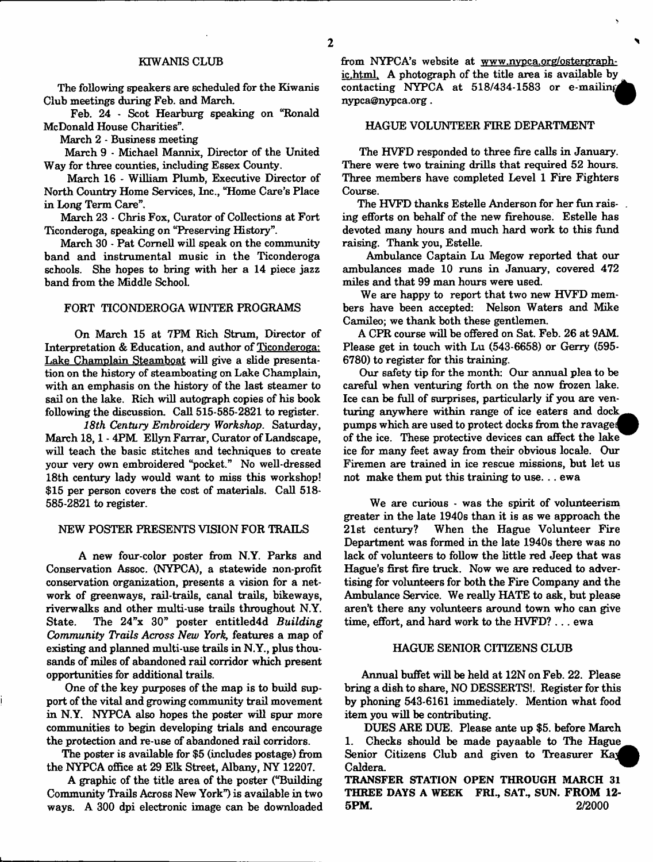**2**

**The following speakers are scheduled for the Kiwanis Club meetings during Feb. and March.**

**Feb. 24 - Scot Hearburg speaking on "Ronald McDonald House Charities".**

**March 2 - Business meeting**

**March 9 \* Michael Mannix, Director of the United Way for three counties, including Essex County.**

**March 16 - William Plumb, Executive Director of North Country Home Services, Inc., "Home Care's Place in Long Term Care".**

**March 23 - Chris Fox, Curator of Collections at Fort Ticonderoga, speaking on "Preserving History".**

**March 30 \* Pat Cornell will speak on the community band and instrumental music in the Ticonderoga schools. She hopes to bring with her a 14 piece jazz band from the Middle School.**

## **FORT TICONDEROGA WINTER PROGRAMS**

**On March 15 at 7FM Rich Strum, Director of Interpretation & Education, and author of Ticonderoga:** Lake Champlain Steamboat will give a slide presentation on the history of steamboating on Lake Champlain, **with an emphasis on the history of the last steamer to sail on the lake. Rich will autograph copies of his book following the discussion. Call 515-585-2821 to register.**

*18th Century Embroidery Workshop.* **Saturday, March 18,1 - 4PM Ellyn Farrar, Curator of Landscape, will teach the basic stitches and techniques to create your very own embroidered "pocket." No well-dressed 18th century lady would want to miss this workshop! \$15 per person covers the cost of materials. Call 518- 585-2821 to register.**

### **NEW POSTER PRESENTS VISION FOR TRAILS**

**A new four-color poster from N.Y. Parks and Conservation Assoc. (NYPCA), a statewide non-profit conservation organization, presents a vision for a network of greenways, rail-trails, canal trails, bikeways, riverwalks and other multi-use trails throughout N.Y. State. The 24"x 30" poster entitled4d** *Building Community Trails Across New York,* **features a map of existing and planned multi-use trails in N.Y., plus thousands of miles of abandoned rail corridor which present opportunities for additional trails.**

**One of the key purposes of the map is to build support of the vital and growing community trail movement in N.Y. NYPCA also hopes the poster will spur more communities to begin developing trials and encourage the protection and re-use of abandoned rail corridors.**

**The poster is available for \$5 (includes postage) from the NYPCA office at 29 Elk Street, Albany, NY 12207.**

**A graphic of the title area of the poster ("Building Community Trails Across New York") is available in two ways. A 300 dpi electronic image can be downloaded** **from NYPCA's website at [www.nvpca.org/ostergranh](http://www.nvpca.org/ostergranh-)ic.html. A photograph of the title area is available by** contacting NYPCA at 518/434-1583 or e-mailing **[nypca@nypca.org](mailto:nypca@nypca.org).**

### **HAGUE VOLUNTEER FERE DEPARTMENT**

**The HVFD responded to three fire calls in January. There were two training drills that required 52 hours. Three members have completed Level 1 Fire Fighters Course.**

**The HVFD thanks Estelle Anderson for her fun rais- . ing efforts on behalf of the new firehouse. Estelle has devoted many hours and much hard work to this fund raising. Thank you, Estelle.**

**Ambulance Captain Lu Megow reported that our ambulances made 10 runs in January, covered 472 miles and that 99 man hours were used.**

**We are happy to report that two new HVFD members have been accepted: Nelson Waters and Mike Camileo; we thank both these gentlemen.**

**A CPR course will be offered on Sat. Feb. 26 at 9AM Please get in touch with Lu (543-6658) or Gerry (595- 6780) to register for this training.**

**Our safety tip for the month: Our annual plea to be careful when venturing forth on the now frozen lake. Ice can be full of surprises, particularly if you are venturing anywhere within range of ice eaters and dock^^ pumps which are used to protect docks from the ravage of the ice. These protective devices can affect the lake ice for many feet away from their obvious locale. Our Firemen are trained in ice rescue missions, but let us not make them put this training to use. .. ewa**

**We are curious - was the spirit of volunteerism greater in the late 1940s than it is as we approach the 21st Century? When the Hague Volunteer Fire Department was formed in the late 1940s there was no lack of volunteers to follow the little red Jeep that was Hague's first fire truck. Now we are reduced to advertising for volunteers for both the Fire Company and the Ambulance Service. We really HATE to ask, but please aren't there any volunteers around town who can give time, effort, and hard work to the HVFD? . . . ewa**

#### **HAGUE SENIOR CITIZENS CLUB**

**Annual buffet will be held at 12N on Feb. 22. Please bring a dish to share, NO DESSERTS!. Register for this by phoning 543-6161 immediately. Mention what food item you will be contributing.**

**DUES ARE DUE. Please ante up \$5. before March 1. Checks should be made payaable to The Hague^\_ Senior Citizens Club and given to Treasurer Ka**3**^ B Caldera.**

**TRANSFER STATION OPEN THROUGH MARCH 31 THREE DAYS A WEEK FRL, SAT., SUN. FROM 12- 5PM. 2/2000**

 $\ddot{\phantom{0}}$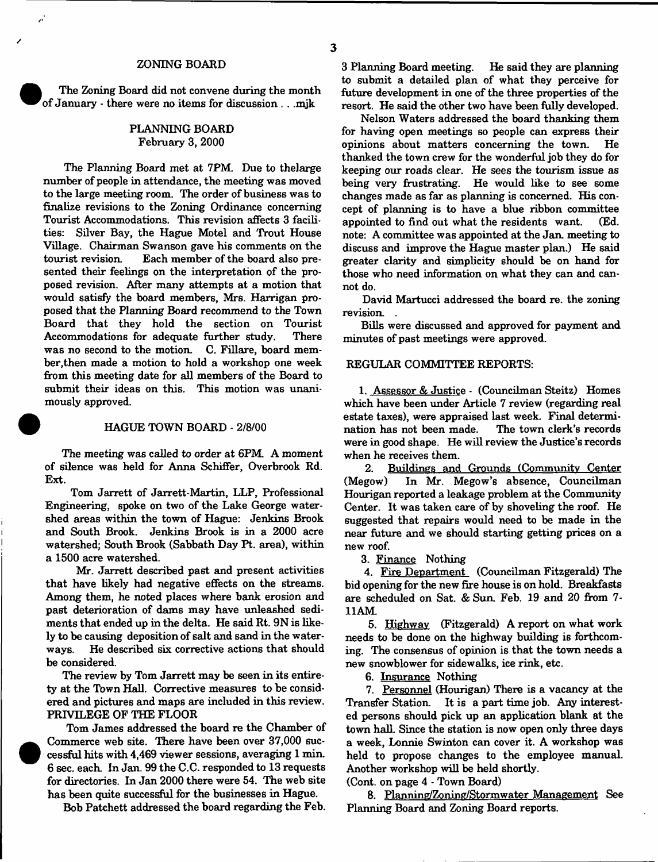#### **ZONING BOARD**

**The Zoning Board did not convene during the month of January - there were no items for discussion . . .mjk**

## **PLANNING BOARD February 3, 2000**

**The Planning Board met at 7PM. Due to thelarge number of people in attendance, the meeting was moved to the large meeting room. The order of business was to finalize revisions to the Zoning Ordinance concerning Tourist Accommodations. This revision affects 3 facilities: Silver Bay, the Hague Motel and Trout House Village. Chairman Swanson gave his comments on the tourist revision Each member of the board also presented their feelings on the interpretation of the proposed revision. After many attempts at a motion that would satisfy the board members, Mrs. Harrigan proposed that the Planning Board recommend to the Town Board that they hold the section on Tourist Accommodations for adequate further study. There was no second to the motion. C. Fillare, board member,then made a motion to hold a workshop one week from this meeting date for all members of the Board to submit their ideas on this. This motion was unanimously approved.**

#### **HAGUE TOWN BOARD - 2/8/00**

**The meeting was called to order at 6PM. A moment of silence was held for Anna Schiffer, Overbrook Rd. Ext.**

**Tom Jarrett of Jarrett-Martin, LLP, Professional Engineering, spoke on two of the Lake George watershed areas within the town of Hague: Jenkins Brook and South Brook. Jenkins Brook is in a 2000 acre watershed; South Brook (Sabbath Day Pt. area), within a 1500 acre watershed.**

**Mr. Jarrett described past and present activities that have likely had negative effects on the streams. Among them, he noted places where bank erosion and past deterioration of dams may have unleashed sediments that ended up in the delta. He said Rt. 9N is likely to be causing deposition of salt and sand in the waterways. He described six corrective actions that should be considered.**

**The review by Tom Jarrett may be seen in its entirety at the Town Hall. Corrective measures to be considered and pictures and maps are included in this review. PRIVILEGE OF THE FLOOR**

**Tom James addressed the board re the Chamber of Commerce web site. There have been over 37,000 successful hits with 4,469 viewer sessions, averaging 1 min. 6 sec. each. In Jan. 99 the C.C. responded to 13 requests for directories. In Jan 2000 there were 54. The web site has been quite successful for the businesses in Hague.**

**Bob Patchett addressed the board regarding the Feb.**

**3 Planning Board meeting. He said they are planning to submit a detailed plan of what they perceive for future development in one of the three properties of the resort. He said the other two have been fully developed.**

**Nelson Waters addressed the board thanking them for having open meetings so people can express their** opinions about matters concerning the town. **thanked the town crew for the wonderful job they do for keeping our roads clear. He sees the tourism issue as being very frustrating. He would like to see some changes made as far as planning is concerned. His concept of planning is to have a blue ribbon committee** appointed to find out what the residents want. **note: A committee was appointed at the Jan. meeting to discuss and improve the Hague master plan.) He said greater clarity and simplicity should be on hand for those who need information on what they can and cannot do.**

**David Martucci addressed the board re. the zoning revision.**

**Bills were discussed and approved for payment and minutes of past meetings were approved.**

## **REGULAR COMMITTEE REPORTS:**

**1. Assessor & Justice - (Councilman Steitz) Homes which have been under Article 7 review (regarding real estate taxes), were appraised last week. Final determi**nation has not been made. **were in good shape. He will review the Justice's records when he receives them.**

**2. Buildings and Grounds (Community Center (Megow) In Mr. Megow's absence, Councilman Hourigan reported a leakage problem at the Community Center. It was taken care of by shoveling the roof. He suggested that repairs would need to be made in the near future and we should starting getting prices on a new roof.**

**3. Finance Nothing**

**4. Fire Department (Councilman Fitzgerald) The bid opening for the new fire house is on hold. Breakfasts are scheduled on Sat. & Sun. Feb. 19 and 20 from 7- 11AM**

**5. Highway (Fitzgerald) A report on what work needs to be done on the highway building is forthcoming. The consensus of opinion is that the town needs a new snowblower for sidewalks, ice rink, etc.**

**6. Insurance Nothing**

**7. Personnel (Hourigan) There is a vacancy at the Transfer Station. It is a part time job. Any interested persons should pick up an application blank at the town hall. Since the station is now open only three days a week, Lonnie Swinton can cover it. A workshop was held to propose changes to the employee manual. Another workshop will be held shortly.**

**(Cont. on page 4 - Town Board)**

**8. Plannins/Zoning/Stormwater Management See Planning Board and Zoning Board reports.**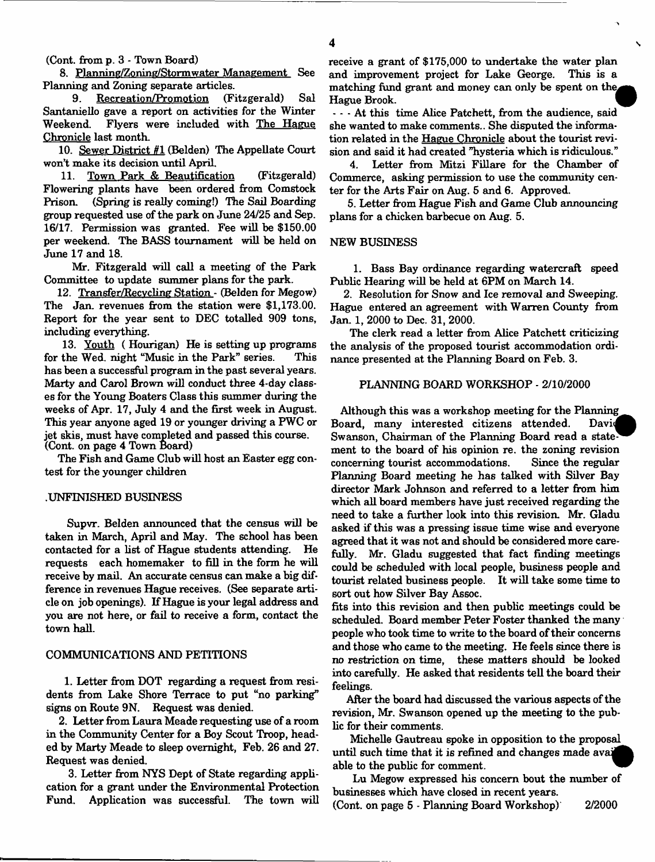**(Cont. from p. 3 - Town Board)**

8. Planning/Zoning/Stormwater Management See **Planning and Zoning separate articles.**

**9. Recreation/Promotion (Fitzgerald) Sal Santaniello gave a report on activities for the Winter Weekend. Flyers were included with The Hague Chronicle last month.**

**10. Sewer District** *81* **(Belden) The Appellate Court won't make its decision until April.**

**11. Town Park & Beautification (Fitzgerald) Flowering plants have been ordered from Comstock Prison. (Spring is really coming!) The Sail Boarding group requested use of the park on June 24/25 and Sep. 16/17. Permission was granted. Fee will be \$150.00 per weekend. The BASS tournament will be held on June 17 and 18.**

**Mr. Fitzgerald will cedi a meeting of the Park Committee to update summer plans for the park.**

**12. Transfer/Recvcling Station - (Belden for Megow) The Jan. revenues from the station were \$1,173.00. Report for the year sent to DEC totalled 909 tons, including everything.**

**13. Youth ( Hourigan) He is setting up programs for the Wed. night "Music in the Park" series. This has been a successful program in the past several years. Marty and Carol Brown will conduct three 4-day classes for the Young Boaters Class this summer during the weeks of Apr. 17, July 4 and the first week in August. This year anyone aged 19 or younger driving a PWC or jet skis, must have completed and passed this course. (Cont. on page 4 Town Board)**

**The Fish and Game Club will host an Easter egg contest for the younger children**

#### **.UNFINISHED BUSINESS**

**Supvr. Belden announced that the census will be taken in March, April and May. The school has been contacted for a list of Hague students attending. He requests each homemaker to fill in the form he will receive by mail. An accurate census can make a big difference in revenues Hague receives. (See separate article on job openings). If Hague is your legal address and you are not here, or fail to receive a form, contact the town hall.**

#### **COMMUNICATIONS AND PETITIONS**

**1. Letter from DOT regarding a request from residents from Lake Shore Terrace to put "no parking" signs on Route 9N. Request was denied.**

**2. Letter from Laura Meade requesting use of a room in the Community Center for a Boy Scout Troop, headed by Marty Meade to sleep overnight, Feb. 26 and 27. Request was denied.**

**3. Letter from NYS Dept of State regarding application for a grant under the Environmental Protection Fund. Application was successful. The town will** **receive a grant of \$175,000 to undertake the water plan and improvement project for Lake George. This is a** matching fund grant and money can only be spent on the **Hague Brook.** *\*

**... At this time Alice Patchett, from the audience, said she wanted to make comments.. She disputed the information related in the Hague Chronicle about the tourist revision and said it had created "hysteria which is ridiculous."**

**4. Letter from Mitzi Fillare for the Chamber of Commerce, asking permission to use the community center for the Arts Fair on Aug. 5 and 6. Approved.**

**5. Letter from Hague Fish and Game Club announcing plans for a chicken barbecue on Aug. 5.**

#### **NEW BUSINESS**

**1. Bass Bay ordinance regarding watercraft speed Public Hearing will be held at 6PM on March 14.**

**2. Resolution for Snow and Ice removal and Sweeping. Hague entered an agreement with Warren County from Jan. 1, 2000 to Dec. 31, 2000.**

**The clerk read a letter from Alice Patchett criticizing the analysis of the proposed tourist accommodation ordinance presented at the Planning Board on Feb. 3.**

### **PLANNING BOARD WORKSHOP - 2/10/2000**

**Although this was a workshop meeting for the Planning Board, many interested citizens attended. Davie Swanson, Chairman of the Planning Board read a statement to the board of his opinion re. the zoning revision concerning tourist accommodations. Since the regular Planning Board meeting he has talked with Silver Bay director Mark Johnson and referred to a letter from him which all board members have just received regarding the need to take a further look into this revision. Mr. Gladu asked if this was a pressing issue time wise and everyone agreed that it was not and should be considered more carefully. Mr. Gladu suggested that fact finding meetings could be scheduled with local people, business people and tourist related business people. It will take some time to sort out how Silver Bay Assoc.**

**fits into this revision and then public meetings could be scheduled. Board member Peter Foster thanked the many people who took time to write to the board of their concerns and those who came to the meeting. He feels since there is no restriction on time, these matters should be looked into carefully. He asked that residents tell the board their feelings.**

**After the board had discussed the various aspects of the revision, Mr. Swanson opened up the meeting to the public for their comments.**

**Michelle Gautreau spoke in opposition to the proposal until such time that it is refined and changes made avail** able to the public for comment.

**Lu Megow expressed his concern bout the number of businesses which have closed in recent years.**

**(Cont. on page 5 - Planning Board Workshop) 2/2000**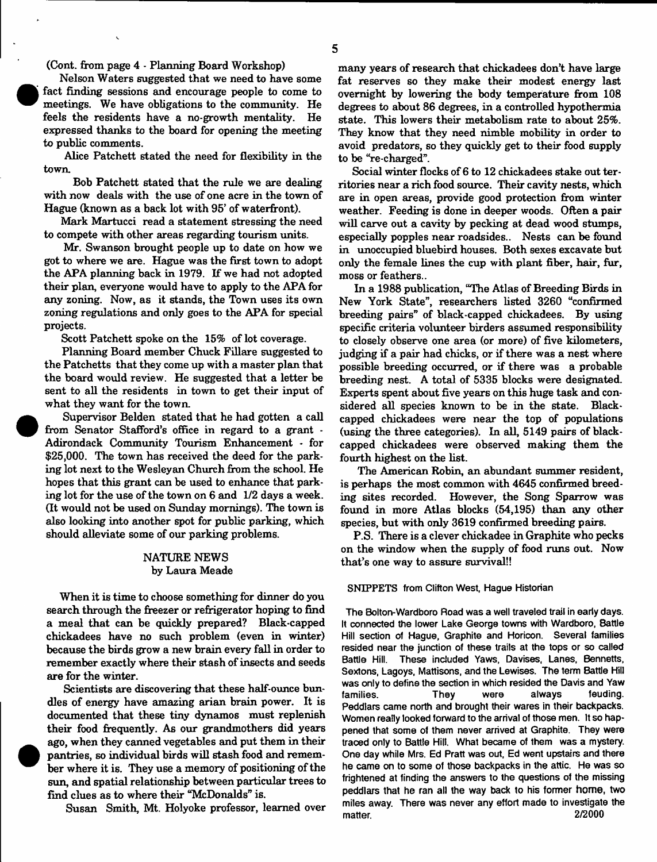**(Cont. from page 4 - Planning Board Workshop)**

**Nelson Waters suggested that we need to have some fact finding sessions and encourage people to come to meetings. We have obligations to the community. He feels the residents have a no-growth mentality. He expressed thanks to the board for opening the meeting to public comments.**

**Alice Patchett stated the need for flexibility in the town.**

**Bob Patchett stated that the rule we are dealing with now deals with the use of one acre in the town of Hague (known as a back lot with 95' of waterfront).**

**Mark Martucci read a statement stressing the need to compete with other areas regarding tourism units.**

**Mr. Swanson brought people up to date on how we got to where we are. Hague was the first town to adopt the APA planning back in 1979. If we had not adopted their plan, everyone would have to apply to the APA for any zoning. Now, as it stands, the Town uses its own zoning regulations and only goes to the APA for special projects.**

**Scott Patchett spoke on the 15% of lot coverage.**

**Planning Board member Chuck Fillare suggested to the Patchetts that they come up with a master plan that the board would review. He suggested that a letter be sent to all the residents in town to get their input of what they want for the town.**

**Supervisor Belden stated that he had gotten a call from Senator Stafford's office in regard to a grant - Adirondack Community Tourism Enhancement - for \$25,000. The town has received the deed for the parking lot next to the Wesleyan Church from the school. He hopes that this grant can be used to enhance that parking lot for the use of the town on 6 and 1/2 days a week. (It would not be used on Sunday mornings). The town is also looking into another spot for public parking, which should alleviate some of our parking problems.**

# **NATURE NEWS by Laura Meade**

**When it is time to choose something for dinner do you search through the freezer or refrigerator hoping to find a meal that can be quickly prepared? Black-capped chickadees have no such problem (even in winter) because the birds grow a new brain every fall in order to remember exactly where their stash of insects and seeds are for the winter.**

**Scientists are discovering that these half-ounce bundles of energy have amazing arian brain power. It is documented that these tiny dynamos must replenish their food frequently. As our grandmothers did years ago, when they canned vegetables and put them in their pantries, so individual birds will stash food and remember where it is. They use a memory of positioning of the sun, and spatial relationship between particular trees to find clues as to where their "McDonalds" is.**

**Susan Smith, Mt. Holyoke professor, learned over**

**many years of research that chickadees don't have large fat reserves so they make their modest energy last overnight by lowering the body temperature from 108 degrees to about 86 degrees, in a controlled hypothermia state. This lowers their metabolism rate to about 25%. They know that they need nimble mobility in order to avoid predators, so they quickly get to their food supply to be "re-charged".**

**Social winter flocks of 6 to 12 chickadees stake out territories near a rich food source. Their cavity nests, which are in open areas, provide good protection from winter weather. Feeding is done in deeper woods. Often a pair will carve out a cavity by pecking at dead wood stumps, especially popples near roadsides.. Nests can be found in unoccupied bluebird houses. Both sexes excavate but only the female lines the cup with plant fiber, hair, fur, moss or feathers..**

**In a 1988 publication, "The Atlas of Breeding Birds in New York State", researchers listed 3260 "confirmed breeding pairs" of black-capped chickadees. By using specific criteria volunteer birders assumed responsibility to closely observe one area (or more) of five kilometers, judging if a pair had chicks, or if there was a nest where possible breeding occurred, or if there was a probable breeding nest. A total of 5335 blocks were designated. Experts spent about five years on this huge task and considered all species known to be in the state. Blackcapped chickadees were near the top of populations (using the three categories). In all, 5149 pairs of blackcapped chickadees were observed making them the fourth highest on the list.**

**The American Robin, an abundant summer resident, is perhaps the most common with 4645 confirmed breeding sites recorded. However, the Song Sparrow was found in more Atlas blocks (54,195) than any other species, but with only 3619 confirmed breeding pairs.**

**P.S. There is a clever chickadee in Graphite who pecks on the window when the supply of food runs out. Now that's one way to assure survival!!**

#### **SNIPPETS from Clifton West, Hague Historian**

**The Bolton-Wardboro Road was a well traveled trail in early days. It connected the lower Lake George towns with Wardboro, Battle Hill section of Hague, Graphite and Horicon. Several families resided near the junction of these trails at the tops or so called Battle Hill. These included Yaws, Davises, Lanes, Bennetts, Sextons, Lagoys, Mattisons, and the Lewises. The term Battle Hill was only to define the section in which resided the Davis and Yaw families. They were always feuding. Peddlars came north and brought their wares in their backpacks. Women really looked forward to the arrival of those men. It so happened that some of them never arrived at Graphite. They were traced only to Battle Hill. What became of them was a mystery. One day while Mrs. Ed Pratt was out, Ed went upstairs and there he came on to some of those backpacks in the attic. He was so frightened at finding the answers to the questions of the missing peddlars that he ran all the way back to his former home, two miles away. There was never any effort made to investigate the matter. 2/2000**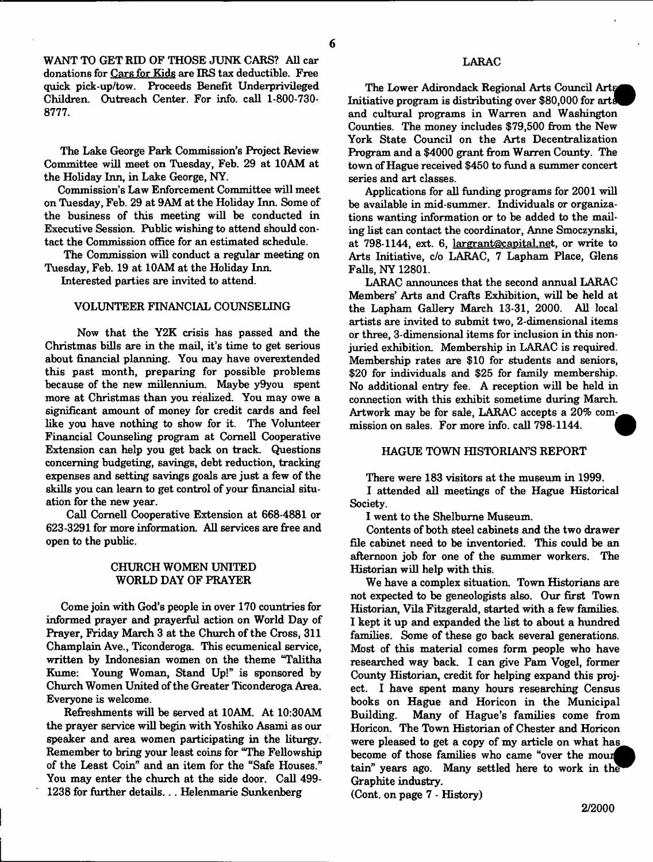**WANT TO GET RED OF THOSE JUNK CARS? All car donations for Cars for Kids are IRS tax deductible. Free quick pick-up/tow. Proceeds Benefit Underprivileged Children. Outreach Center. For info, call 1-800-730- 8777.**

**The Lake George Park Commission's Project Review Committee will meet on Tuesday, Feb. 29 at 10AM at the Holiday Inn, in Lake George, NY.**

**Commission's Law Enforcement Committee will meet on Tuesday, Feb. 29 at 9AM at the Holiday Inn. Some of the business of this meeting will be conducted in Executive Session. Public wishing to attend should contact the Commission office for an estimated schedule.**

**The Commission will conduct a regular meeting on Tuesday, Feb. 19 at 10AM at the Holiday Inn.**

**Interested parties are invited to attend.**

## **VOLUNTEER FINANCIAL COUNSELING**

**Now that the Y2K crisis has passed and the Christmas bills are in the mail, it's time to get serious about financial planning. You may have overextended this past month, preparing for possible problems because of the new millennium. Maybe y9you spent more at Christmas than you realized. You may owe a significant amount of money for credit cards and feel like you have nothing to show for it. The Volunteer Financial Counseling program at Cornell Cooperative Extension can help you get back on track. Questions concerning budgeting, savings, debt reduction, tracking expenses and setting savings goals are just a few of the** skills you can learn to get control of your financial situ**ation for the new year.**

**Call Cornell Cooperative Extension at 668\*4881 or 623-3291 for more information. All services are free and open to the public.**

## **CHURCH WOMEN UNITED WORLD DAY OF PRAYER**

**Come join with God's people in over 170 countries for informed prayer and prayerful action on World Day of Prayer, Friday March 3 at the Church of the Cross, 311 Champlain Ave., Ticonderoga. This ecumenical service, written by Indonesian women on the theme "Talitha Kume: Young Woman, Stand Up!" is sponsored by Church Women United of the Greater Ticonderoga Area. Everyone is welcome.**

**Refreshments will be served at 10AM. At 10:30AM** the prayer service will begin with Yoshiko Asami as our **speaker and area women participating in the liturgy. Remember to bring your least coins for "The Fellowship of the Least Coin" and an item for the "Safe Houses." You may enter the church at the side door. CelU 499- 1238 for further details.. . Helenmarie Sunkenberg**

The Lower Adirondack Regional Arts Council Arts **Initiative program is distributing over \$80,000 for arts and cultural programs in Warren and Washington Counties. The money includes \$79,500 from the New York State Council on the Arts Decentralization Program and a \$4000 grant from Warren County. The town of Hague received \$450 to fund a summer concert series and art classes.**

**Applications for all funding programs for 2001 will be available in mid-summer. Individuals or organizations wanting information or to be added to the mailing list can contact the coordinator, Anne Smoczynski, at 798-1144, ext. 6, [largrant@canital.net.](mailto:largrant@canital.net) or write to Arts Initiative, c/o LARAC, 7 Lapham Place, Glens Falls, NY 12801.**

**LARAC announces that the second annual LARAC Members' Arts and Crafts Exhibition, will be held at the Lapham Gallery March 13-31, 2000. All local artists are invited to submit two, 2-dimensional items or three, 3-dimensional items for inclusion in this nonjuried exhibition. Membership in LARAC is required. Membership rates are \$10 for students and seniors, \$20 for individuals and \$25 for family membership. No additional entry fee. A reception will be held in connection with this exhibit sometime during March. Artwork may be for sale, LARAC accepts a 20% com-^ mission on sales. For more info, call 798-1144.**

## **HAGUE TOWN HISTORIAN'S REPORT**

**There were 183 visitors at the museum in 1999.**

**I attended all meetings of the Hague Historical Society.**

**I went to the Shelburne Museum.**

**Contents of both steel cabinets and the two drawer file cabinet need to be inventoried. This could be an afternoon job for one of the summer workers. The Historian will help with this.**

**We have a complex situation. Town Historians are not expected to be geneologists also. Our first Town Historian, Vila Fitzgerald, started with a few families. I kept it up and expanded the list to about a hundred families. Some of these go back several generations. Most of this material comes form people who have researched way back. I can give Pam Vogel, former County Historian, credit for helping expand this project. I have spent many hours researching Census books on Hague and Horicon in the Municipal Building. Many of Hague's families come from Horicon. The Town Historian of Chester and Horicon were pleased to get a copy of my article on what has\_** become of those families who came "over the mour tain" years ago. Many settled here to work in the **Graphite industry.**

**(Cont. on page 7 - History)**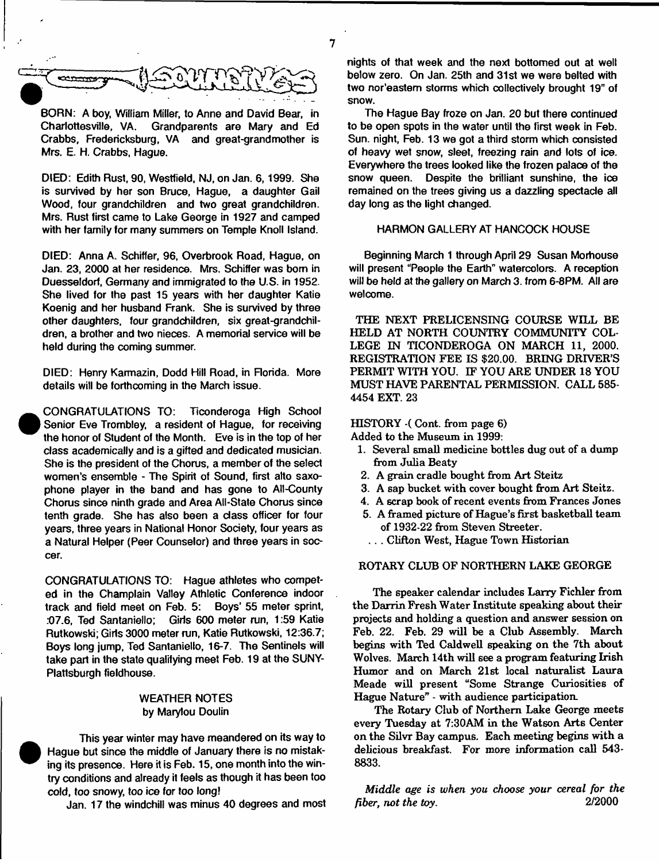

**BORN: A boy, William Miller, to Anne and David Bear, in Charlottesville, VA. Grandparents are Mary and Ed Crabbs, Fredericksburg, VA and great-grandmother is Mrs. E. H. Crabbs, Hague.**

**DIED: Edith Rust, 90, Westfield, NJ, on Jan. 6,1999. She is survived by her son Bruce, Hague, a daughter Gail Wood, four grandchildren and two great grandchildren. Mrs. Rust first came to Lake George in 1927 and camped with her family for many summers on Temple Knoll Island.**

**DIED: Anna A. Schiffer, 96, Overbrook Road, Hague, on Jan. 23, 2000 at her residence. Mrs. Schiffer was bom in Duessefdorf, Germany and immigrated to the U.S. in 1952. She lived for the past 15 years with her daughter Katie Koenig and her husband Frank. She is survived by three other daughters, four grandchildren, six great-grandchildren, a brother and two nieces. A memorial service will be held during the coming summer.**

**DIED: Henry Karmazin, Dodd Hill Road, in Florida. More details will be forthcoming in the March issue.**

**CONGRATULATIONS TO: Ticonderoga High School Senior Eve Trombley, a resident of Hague, for receiving the honor of Student of the Month. Eve is in the top of her class academically and is a gifted and dedicated musician. She is the president of the Chorus, a member of the select women's ensemble - The Spirit of Sound, first alto saxophone player in the band and has gone to All-County Chorus since ninth grade and Area All-State Chorus since tenth grade. She has also been a class officer for four years, three years in National Honor Society, four years as a Natural Helper (Peer Counselor) and three years in soccer.**

**CONGRATULATIONS TO: Hague athletes who competed in the Champlain Valley Athletic Conference indoor track and field meet on Feb. 5: Boys' 55 meter sprint, .\*07.6, Ted Santaniello; Giris 600 meter run, 1:59 Katie Rutkowski; Giris 3000 meter run, Katie Rutkowski, 12:36.7; Boys long jump, Ted Santaniello, 16-7. The Sentinels will take part in the state qualifying meet Feb. 19 at the SUNY-Plattsburgh fieldhouse.**

## **WEATHER NOTES by Marylou Doulin**

**This year winter may have meandered on its way to Hague but since the middle of January there is no mistaking its presence. Here it is Feb. 15, one month into the wintry conditions and already it feels as though it has been too cold, too snowy, too ice** *for too* **long!**

**Jan. 17 the windchill was minus 40 degrees and most**

**nights of that week and the next bottomed out at well below zero. On Jan. 25th and 31st we were belted with two nor'eastem storms which collectively brought 19" of snow.**

**The Hague Bay froze on Jan. 20 but there continued to be open spots in the water until the first week in Feb. Sun. night, Feb. 13 we got a third storm which consisted of heavy wet snow, sleet, freezing rain and lots of ice. Everywhere the trees looked like the frozen palace of the snow queen. Despite the brilliant sunshine, the ice remained on the trees giving us a dazzling spectacle all day long as the light changed.**

## **HARMON GALLERY AT HANCOCK HOUSE**

**Beginning March 1 through April 29 Susan Morhouse will present "People the Earth" watercolors. A reception will be held at the gallery on March 3. from 6-8PM. All are welcome.**

**THE NEXT FRELICENSING COURSE WILL BE HELD AT NORTH COUNTRY COMMUNITY COL-LEGE IN TICONDEROGA ON MARCH 11, 2000. REGISTRATION FEE IS \$20.00. BRING DRIVER'S PERMIT WITH YOU. IF YOU ARE UNDER 18 YOU MUST HAVE PARENTAL PERMISSION. CALL 585- 4454 EXT. 23**

### **HISTORY -( Cont. from page 6)**

**Added to the Museum in 1999:**

- **1. Several small medicine bottles dug out of a dump from Julia Beaty**
- **2. A grain cradle bought from Art Steitz**
- **3. A sap bucket with cover bought from Art Steitz.**
- **4. A scrap book of recent events from Frances Jones**
- **5. A framed picture of Hague's first basketball team of 1932-22 from Steven Streeter.**
- **. . . Clifton West, Hague Town Historian**

## **ROTARY CLUB OF NORTHERN LAKE GEORGE**

**The speaker calendar includes Larry Fichler from the Darrin Fresh Water Institute speaking about their projects and holding a question and answer session on Feb. 22. Feb. 29 will be a Club Assembly. March begins with Ted Caldwell speaking on the 7th about Wolves. March 14th will see a program featuring Irish Humor and on March 21st local naturalist Laura Meade will present "Some Strange Curiosities of Hague Nature" \* with audience participation.**

**The Rotary Club of Northern Lake George meets every Tuesday at 7:30AM in the Watson Arts Center on the Silvr Bay campus. Each meeting begins with a delicious breakfast. For more information call 543\* 8833.**

*M iddle age is when you choose your cereal for the fiber***,** *not the toy***. 2/2000**